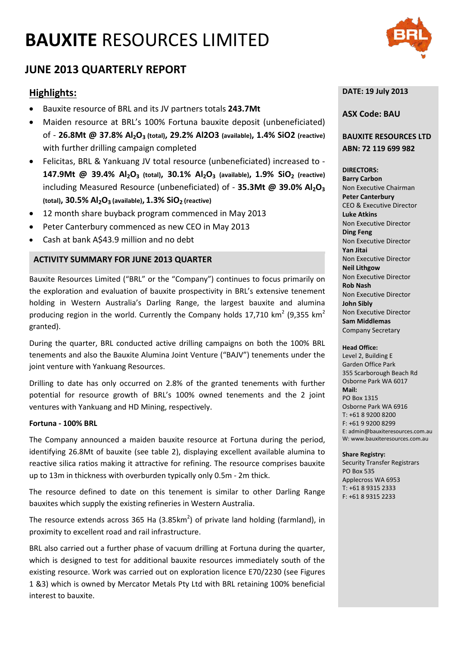# **BAUXITE** RESOURCES LIMITED



# **JUNE 2013 QUARTERLY REPORT**

# **Highlights:**

- Bauxite resource of BRL and its JV partners totals **243.7Mt**
- Maiden resource at BRL's 100% Fortuna bauxite deposit (unbeneficiated) of - **26.8Mt @ 37.8% Al2O3 (total), 29.2% Al2O3 (available), 1.4% SiO2 (reactive)**  with further drilling campaign completed
- Felicitas, BRL & Yankuang JV total resource (unbeneficiated) increased to **147.9Mt** @ 39.4% Al<sub>2</sub>O<sub>3</sub> (total), 30.1% Al<sub>2</sub>O<sub>3</sub> (available), 1.9% SiO<sub>2</sub> (reactive) including Measured Resource (unbeneficiated) of - **35.3Mt @ 39.0% Al2O3**  (total), 30.5% Al<sub>2</sub>O<sub>3</sub> (available), 1.3% SiO<sub>2</sub> (reactive)
- 12 month share buyback program commenced in May 2013
- Peter Canterbury commenced as new CEO in May 2013
- Cash at bank A\$43.9 million and no debt

#### **ACTIVITY SUMMARY FOR JUNE 2013 QUARTER**

Bauxite Resources Limited ("BRL" or the "Company") continues to focus primarily on the exploration and evaluation of bauxite prospectivity in BRL's extensive tenement holding in Western Australia's Darling Range, the largest bauxite and alumina producing region in the world. Currently the Company holds  $17,710$  km<sup>2</sup> (9,355 km<sup>2</sup> granted).

During the quarter, BRL conducted active drilling campaigns on both the 100% BRL tenements and also the Bauxite Alumina Joint Venture ("BAJV") tenements under the joint venture with Yankuang Resources.

Drilling to date has only occurred on 2.8% of the granted tenements with further potential for resource growth of BRL's 100% owned tenements and the 2 joint ventures with Yankuang and HD Mining, respectively.

#### **Fortuna - 100% BRL**

The Company announced a maiden bauxite resource at Fortuna during the period, identifying 26.8Mt of bauxite (see table 2), displaying excellent available alumina to reactive silica ratios making it attractive for refining. The resource comprises bauxite up to 13m in thickness with overburden typically only 0.5m - 2m thick.

The resource defined to date on this tenement is similar to other Darling Range bauxites which supply the existing refineries in Western Australia.

The resource extends across 365 Ha (3.85 $km^2$ ) of private land holding (farmland), in proximity to excellent road and rail infrastructure.

BRL also carried out a further phase of vacuum drilling at Fortuna during the quarter, which is designed to test for additional bauxite resources immediately south of the existing resource. Work was carried out on exploration licence E70/2230 (see Figures 1 &3) which is owned by Mercator Metals Pty Ltd with BRL retaining 100% beneficial interest to bauxite.

#### **DATE: 19 July 2013**

#### **ASX Code: BAU**

### **BAUXITE RESOURCES LTD ABN: 72 119 699 982**

#### **DIRECTORS:**

**Barry Carbon**  Non Executive Chairman **Peter Canterbury**  CEO & Executive Director **Luke Atkins**  Non Executive Director **Ding Feng**  Non Executive Director **Yan Jitai** Non Executive Director **Neil Lithgow** Non Executive Director **Rob Nash** Non Executive Director **John Sibly** Non Executive Director **Sam Middlemas** Company Secretary

#### **Head Office:**

Level 2, Building E Garden Office Park 355 Scarborough Beach Rd Osborne Park WA 6017 **Mail:** PO Box 1315 Osborne Park WA 6916 T: +61 8 9200 8200 F: +61 9 9200 8299 E: admin@bauxiteresources.com.au W: www.bauxiteresources.com.au

#### **Share Registry:**

Security Transfer Registrars PO Box 535 Applecross WA 6953 T: +61 8 9315 2333 F: +61 8 9315 2233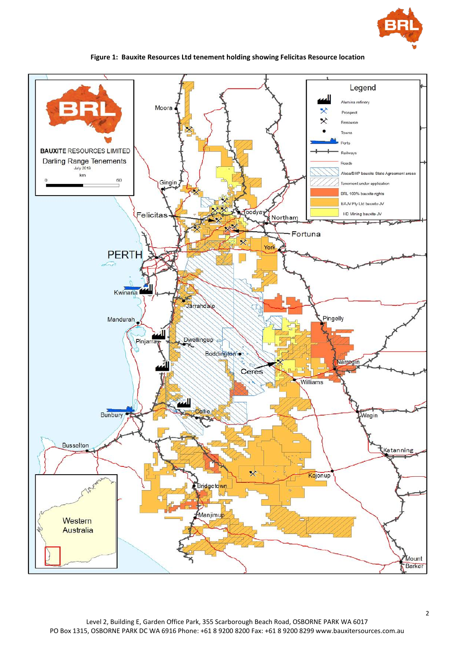



## **Figure 1: Bauxite Resources Ltd tenement holding showing Felicitas Resource location**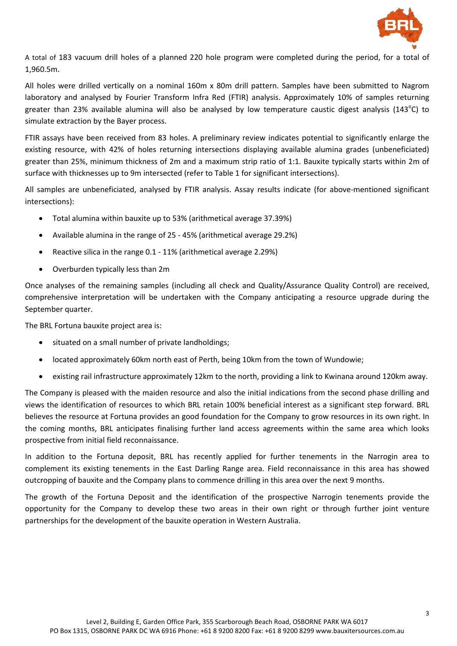

A total of 183 vacuum drill holes of a planned 220 hole program were completed during the period, for a total of 1,960.5m.

All holes were drilled vertically on a nominal 160m x 80m drill pattern. Samples have been submitted to Nagrom laboratory and analysed by Fourier Transform Infra Red (FTIR) analysis. Approximately 10% of samples returning greater than 23% available alumina will also be analysed by low temperature caustic digest analysis (143<sup>o</sup>C) to simulate extraction by the Bayer process.

FTIR assays have been received from 83 holes. A preliminary review indicates potential to significantly enlarge the existing resource, with 42% of holes returning intersections displaying available alumina grades (unbeneficiated) greater than 25%, minimum thickness of 2m and a maximum strip ratio of 1:1. Bauxite typically starts within 2m of surface with thicknesses up to 9m intersected (refer to Table 1 for significant intersections).

All samples are unbeneficiated, analysed by FTIR analysis. Assay results indicate (for above-mentioned significant intersections):

- Total alumina within bauxite up to 53% (arithmetical average 37.39%)
- Available alumina in the range of 25 45% (arithmetical average 29.2%)
- Reactive silica in the range 0.1 11% (arithmetical average 2.29%)
- Overburden typically less than 2m

Once analyses of the remaining samples (including all check and Quality/Assurance Quality Control) are received, comprehensive interpretation will be undertaken with the Company anticipating a resource upgrade during the September quarter.

The BRL Fortuna bauxite project area is:

- situated on a small number of private landholdings;
- located approximately 60km north east of Perth, being 10km from the town of Wundowie;
- existing rail infrastructure approximately 12km to the north, providing a link to Kwinana around 120km away.

The Company is pleased with the maiden resource and also the initial indications from the second phase drilling and views the identification of resources to which BRL retain 100% beneficial interest as a significant step forward. BRL believes the resource at Fortuna provides an good foundation for the Company to grow resources in its own right. In the coming months, BRL anticipates finalising further land access agreements within the same area which looks prospective from initial field reconnaissance.

In addition to the Fortuna deposit, BRL has recently applied for further tenements in the Narrogin area to complement its existing tenements in the East Darling Range area. Field reconnaissance in this area has showed outcropping of bauxite and the Company plans to commence drilling in this area over the next 9 months.

The growth of the Fortuna Deposit and the identification of the prospective Narrogin tenements provide the opportunity for the Company to develop these two areas in their own right or through further joint venture partnerships for the development of the bauxite operation in Western Australia.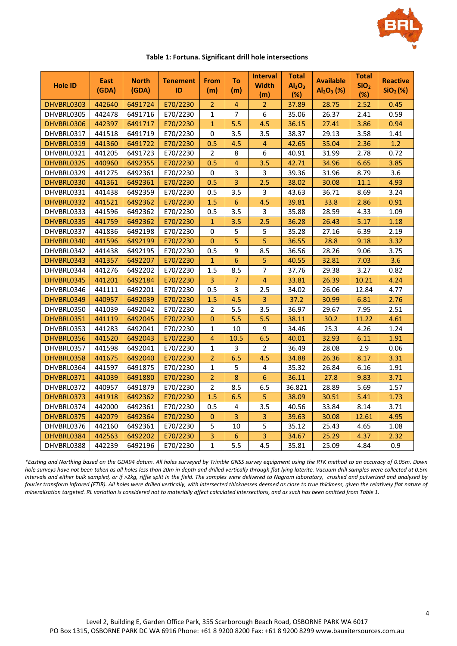

| <b>Hole ID</b> | <b>East</b><br>(GDA) | <b>North</b><br>(GDA) | <b>Tenement</b><br>ID | <b>From</b><br>(m) | To<br>(m)      | <b>Interval</b><br><b>Width</b><br>(m) | Total<br>Al <sub>2</sub> O <sub>3</sub><br>(%) | <b>Available</b><br>$Al_2O_3$ (%) | Total<br>SiO <sub>2</sub><br>(%) | <b>Reactive</b><br>SiO <sub>2</sub> (%) |
|----------------|----------------------|-----------------------|-----------------------|--------------------|----------------|----------------------------------------|------------------------------------------------|-----------------------------------|----------------------------------|-----------------------------------------|
| DHVBRL0303     | 442640               | 6491724               | E70/2230              | $\overline{2}$     | $\overline{4}$ | $\overline{2}$                         | 37.89                                          | 28.75                             | 2.52                             | 0.45                                    |
| DHVBRL0305     | 442478               | 6491716               | E70/2230              | $\mathbf{1}$       | $\overline{7}$ | 6                                      | 35.06                                          | 26.37                             | 2.41                             | 0.59                                    |
| DHVBRL0306     | 442397               | 6491717               | E70/2230              | $\mathbf{1}$       | 5.5            | 4.5                                    | 36.15                                          | 27.41                             | 3.86                             | 0.94                                    |
| DHVBRL0317     | 441518               | 6491719               | E70/2230              | 0                  | 3.5            | 3.5                                    | 38.37                                          | 29.13                             | 3.58                             | 1.41                                    |
| DHVBRL0319     | 441360               | 6491722               | E70/2230              | 0.5                | 4.5            | $\overline{4}$                         | 42.65                                          | 35.04                             | 2.36                             | 1.2                                     |
| DHVBRL0321     | 441205               | 6491723               | E70/2230              | $\overline{2}$     | 8              | $\boldsymbol{6}$                       | 40.91                                          | 31.99                             | 2.78                             | 0.72                                    |
| DHVBRL0325     | 440960               | 6492355               | E70/2230              | 0.5                | 4              | 3.5                                    | 42.71                                          | 34.96                             | 6.65                             | 3.85                                    |
| DHVBRL0329     | 441275               | 6492361               | E70/2230              | 0                  | 3              | 3                                      | 39.36                                          | 31.96                             | 8.79                             | 3.6                                     |
| DHVBRL0330     | 441361               | 6492361               | E70/2230              | 0.5                | 3              | 2.5                                    | 38.02                                          | 30.08                             | 11.1                             | 4.93                                    |
| DHVBRL0331     | 441438               | 6492359               | E70/2230              | 0.5                | 3.5            | 3                                      | 43.63                                          | 36.71                             | 8.69                             | 3.24                                    |
| DHVBRL0332     | 441521               | 6492362               | E70/2230              | $1.5\,$            | 6              | 4.5                                    | 39.81                                          | 33.8                              | 2.86                             | 0.91                                    |
| DHVBRL0333     | 441596               | 6492362               | E70/2230              | 0.5                | 3.5            | $\overline{3}$                         | 35.88                                          | 28.59                             | 4.33                             | 1.09                                    |
| DHVBRL0335     | 441759               | 6492362               | E70/2230              | $\mathbf{1}$       | 3.5            | 2.5                                    | 36.28                                          | 26.43                             | 5.17                             | 1.18                                    |
| DHVBRL0337     | 441836               | 6492198               | E70/2230              | 0                  | 5              | 5                                      | 35.28                                          | 27.16                             | 6.39                             | 2.19                                    |
| DHVBRL0340     | 441596               | 6492199               | E70/2230              | $\boldsymbol{0}$   | 5              | 5                                      | 36.55                                          | 28.8                              | 9.18                             | 3.32                                    |
| DHVBRL0342     | 441438               | 6492195               | E70/2230              | 0.5                | 9              | 8.5                                    | 36.56                                          | 28.26                             | 9.06                             | 3.75                                    |
| DHVBRL0343     | 441357               | 6492207               | E70/2230              | $\mathbf{1}$       | 6              | 5                                      | 40.55                                          | 32.81                             | 7.03                             | 3.6                                     |
| DHVBRL0344     | 441276               | 6492202               | E70/2230              | 1.5                | 8.5            | $\overline{7}$                         | 37.76                                          | 29.38                             | 3.27                             | 0.82                                    |
| DHVBRL0345     | 441201               | 6492184               | E70/2230              | 3                  | 7              | 4                                      | 33.81                                          | 26.39                             | 10.21                            | 4.24                                    |
| DHVBRL0346     | 441111               | 6492201               | E70/2230              | 0.5                | 3              | 2.5                                    | 34.02                                          | 26.06                             | 12.84                            | 4.77                                    |
| DHVBRL0349     | 440957               | 6492039               | E70/2230              | 1.5                | 4.5            | $\overline{3}$                         | 37.2                                           | 30.99                             | 6.81                             | 2.76                                    |
| DHVBRL0350     | 441039               | 6492042               | E70/2230              | $\overline{2}$     | 5.5            | 3.5                                    | 36.97                                          | 29.67                             | 7.95                             | 2.51                                    |
| DHVBRL0351     | 441119               | 6492045               | E70/2230              | $\pmb{0}$          | 5.5            | 5.5                                    | 38.11                                          | 30.2                              | 11.22                            | 4.61                                    |
| DHVBRL0353     | 441283               | 6492041               | E70/2230              | $\mathbf{1}$       | 10             | 9                                      | 34.46                                          | 25.3                              | 4.26                             | 1.24                                    |
| DHVBRL0356     | 441520               | 6492043               | E70/2230              | 4                  | 10.5           | 6.5                                    | 40.01                                          | 32.93                             | 6.11                             | 1.91                                    |
| DHVBRL0357     | 441598               | 6492041               | E70/2230              | $\mathbf{1}$       | 3              | $\overline{2}$                         | 36.49                                          | 28.08                             | 2.9                              | 0.06                                    |
| DHVBRL0358     | 441675               | 6492040               | E70/2230              | $\overline{2}$     | 6.5            | 4.5                                    | 34.88                                          | 26.36                             | 8.17                             | 3.31                                    |
| DHVBRL0364     | 441597               | 6491875               | E70/2230              | $\mathbf{1}$       | 5              | $\overline{4}$                         | 35.32                                          | 26.84                             | 6.16                             | 1.91                                    |
| DHVBRL0371     | 441039               | 6491880               | E70/2230              | $\overline{2}$     | $\bf 8$        | $\boldsymbol{6}$                       | 36.11                                          | 27.8                              | 9.83                             | 3.71                                    |
| DHVBRL0372     | 440957               | 6491879               | E70/2230              | $\overline{2}$     | 8.5            | 6.5                                    | 36.821                                         | 28.89                             | 5.69                             | 1.57                                    |
| DHVBRL0373     | 441918               | 6492362               | E70/2230              | 1.5                | 6.5            | 5                                      | 38.09                                          | 30.51                             | 5.41                             | 1.73                                    |
| DHVBRL0374     | 442000               | 6492361               | E70/2230              | 0.5                | 4              | 3.5                                    | 40.56                                          | 33.84                             | 8.14                             | 3.71                                    |
| DHVBRL0375     | 442079               | 6492364               | E70/2230              | $\pmb{0}$          | 3              | $\overline{3}$                         | 39.63                                          | 30.08                             | 12.61                            | 4.95                                    |
| DHVBRL0376     | 442160               | 6492361               | E70/2230              | 5                  | 10             | 5                                      | 35.12                                          | 25.43                             | 4.65                             | 1.08                                    |
| DHVBRL0384     | 442563               | 6492202               | E70/2230              | 3                  | 6              | 3                                      | 34.67                                          | 25.29                             | 4.37                             | 2.32                                    |
| DHVBRL0388     | 442239               | 6492196               | E70/2230              | $\mathbf{1}$       | 5.5            | 4.5                                    | 35.81                                          | 25.09                             | 4.84                             | 0.9                                     |

**Table 1: Fortuna. Significant drill hole intersections**

*\*Easting and Northing based on the GDA94 datum. All holes surveyed by Trimble GNSS survey equipment using the RTK method to an accuracy of 0.05m. Down hole surveys have not been taken as all holes less than 20m in depth and drilled vertically through flat lying laterite. Vacuum drill samples were collected at 0.5m intervals and either bulk sampled, or if >2kg, riffle split in the field. The samples were delivered to Nagrom laboratory, crushed and pulverized and analysed by fourier transform infrared (FTIR). All holes were drilled vertically, with intersected thicknesses deemed as close to true thickness, given the relatively flat nature of mineralisation targeted. RL variation is considered not to materially affect calculated intersections, and as such has been omitted from Table 1.*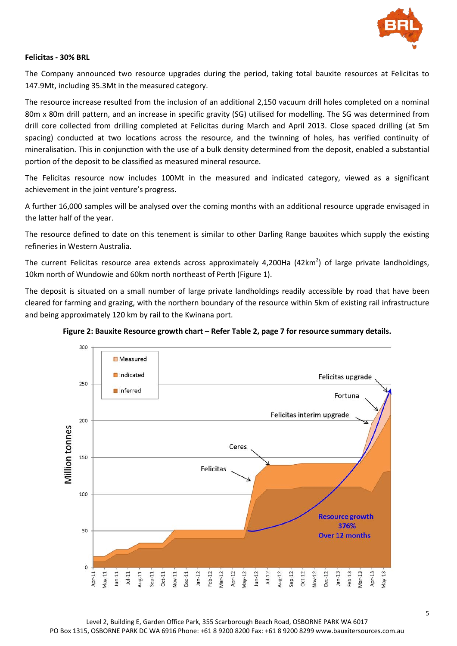

#### **Felicitas - 30% BRL**

The Company announced two resource upgrades during the period, taking total bauxite resources at Felicitas to 147.9Mt, including 35.3Mt in the measured category.

The resource increase resulted from the inclusion of an additional 2,150 vacuum drill holes completed on a nominal 80m x 80m drill pattern, and an increase in specific gravity (SG) utilised for modelling. The SG was determined from drill core collected from drilling completed at Felicitas during March and April 2013. Close spaced drilling (at 5m spacing) conducted at two locations across the resource, and the twinning of holes, has verified continuity of mineralisation. This in conjunction with the use of a bulk density determined from the deposit, enabled a substantial portion of the deposit to be classified as measured mineral resource.

The Felicitas resource now includes 100Mt in the measured and indicated category, viewed as a significant achievement in the joint venture's progress.

A further 16,000 samples will be analysed over the coming months with an additional resource upgrade envisaged in the latter half of the year.

The resource defined to date on this tenement is similar to other Darling Range bauxites which supply the existing refineries in Western Australia.

The current Felicitas resource area extends across approximately 4,200Ha (42km<sup>2</sup>) of large private landholdings, 10km north of Wundowie and 60km north northeast of Perth (Figure 1).

The deposit is situated on a small number of large private landholdings readily accessible by road that have been cleared for farming and grazing, with the northern boundary of the resource within 5km of existing rail infrastructure and being approximately 120 km by rail to the Kwinana port.



**Figure 2: Bauxite Resource growth chart – Refer Table 2, page 7 for resource summary details.**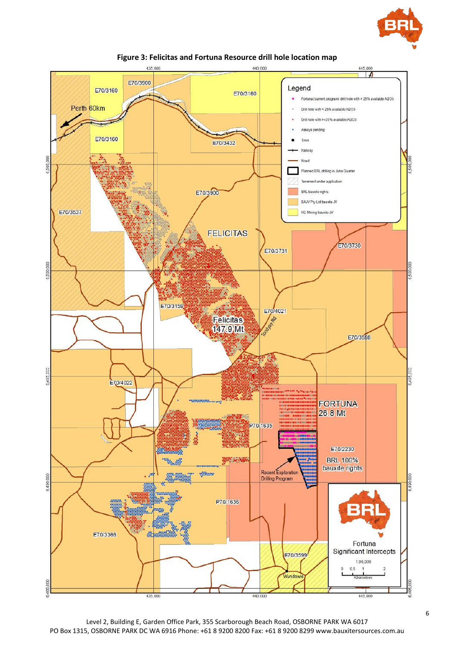





Level 2, Building E, Garden Office Park, 355 Scarborough Beach Road, OSBORNE PARK WA 6017 PO Box 1315, OSBORNE PARK DC WA 6916 Phone: +61 8 9200 8200 Fax: +61 8 9200 8299 www.bauxitersources.com.au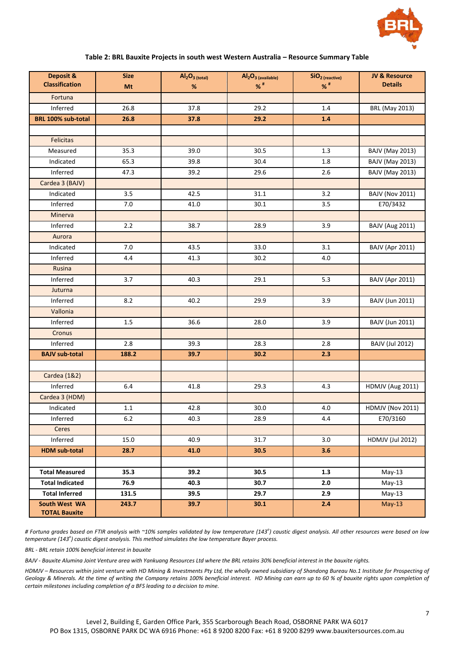

#### **Table 2: BRL Bauxite Projects in south west Western Australia – Resource Summary Table**

| Deposit &              | <b>Size</b> | $Al2O3$ (total) | Al <sub>2</sub> O <sub>3</sub> (available) | SiO <sub>2</sub> (reactive) | <b>JV &amp; Resource</b> |
|------------------------|-------------|-----------------|--------------------------------------------|-----------------------------|--------------------------|
| <b>Classification</b>  | Mt          | %               | $%$ #                                      | $\%$ #                      | <b>Details</b>           |
| Fortuna                |             |                 |                                            |                             |                          |
| Inferred               | 26.8        | 37.8            | 29.2                                       | 1.4                         | <b>BRL (May 2013)</b>    |
| BRL 100% sub-total     | 26.8        | 37.8            | 29.2                                       | 1.4                         |                          |
|                        |             |                 |                                            |                             |                          |
| <b>Felicitas</b>       |             |                 |                                            |                             |                          |
| Measured               | 35.3        | 39.0            | 30.5                                       | 1.3                         | <b>BAJV (May 2013)</b>   |
| Indicated              | 65.3        | 39.8            | 30.4                                       | 1.8                         | <b>BAJV (May 2013)</b>   |
| Inferred               | 47.3        | 39.2            | 29.6                                       | 2.6                         | <b>BAJV (May 2013)</b>   |
| Cardea 3 (BAJV)        |             |                 |                                            |                             |                          |
| Indicated              | 3.5         | 42.5            | 31.1                                       | 3.2                         | <b>BAJV (Nov 2011)</b>   |
| Inferred               | 7.0         | 41.0            | 30.1                                       | 3.5                         | E70/3432                 |
| Minerva                |             |                 |                                            |                             |                          |
| Inferred               | 2.2         | 38.7            | 28.9                                       | 3.9                         | <b>BAJV (Aug 2011)</b>   |
| Aurora                 |             |                 |                                            |                             |                          |
| Indicated              | 7.0         | 43.5            | 33.0                                       | 3.1                         | <b>BAJV (Apr 2011)</b>   |
| Inferred               | 4.4         | 41.3            | 30.2                                       | 4.0                         |                          |
| Rusina                 |             |                 |                                            |                             |                          |
| Inferred               | 3.7         | 40.3            | 29.1                                       | 5.3                         | <b>BAJV (Apr 2011)</b>   |
| Juturna                |             |                 |                                            |                             |                          |
| Inferred               | 8.2         | 40.2            | 29.9                                       | 3.9                         | <b>BAJV (Jun 2011)</b>   |
| Vallonia               |             |                 |                                            |                             |                          |
| Inferred               | 1.5         | 36.6            | 28.0                                       | 3.9                         | <b>BAJV (Jun 2011)</b>   |
| Cronus                 |             |                 |                                            |                             |                          |
| Inferred               | 2.8         | 39.3            | 28.3                                       | 2.8                         | <b>BAJV (Jul 2012)</b>   |
| <b>BAJV sub-total</b>  | 188.2       | 39.7            | 30.2                                       | 2.3                         |                          |
|                        |             |                 |                                            |                             |                          |
| <b>Cardea</b> (1&2)    |             |                 |                                            |                             |                          |
| Inferred               | 6.4         | 41.8            | 29.3                                       | 4.3                         | HDMJV (Aug 2011)         |
| Cardea 3 (HDM)         |             |                 |                                            |                             |                          |
| Indicated              | 1.1         | 42.8            | 30.0                                       | 4.0                         | <b>HDMJV (Nov 2011)</b>  |
| Inferred               | 6.2         | 40.3            | 28.9                                       | 4.4                         | E70/3160                 |
| Ceres                  |             |                 |                                            |                             |                          |
| Inferred               | 15.0        | 40.9            | 31.7                                       | 3.0                         | <b>HDMJV (Jul 2012)</b>  |
| <b>HDM sub-total</b>   | 28.7        | 41.0            | 30.5                                       | 3.6                         |                          |
|                        |             |                 |                                            |                             |                          |
| <b>Total Measured</b>  | 35.3        | 39.2            | 30.5                                       | 1.3                         | $May-13$                 |
| <b>Total Indicated</b> | 76.9        | 40.3            | 30.7                                       | 2.0                         | $May-13$                 |
| <b>Total Inferred</b>  | 131.5       | 39.5            | 29.7                                       | 2.9                         | $May-13$                 |
| South West WA          | 243.7       | 39.7            | 30.1                                       | 2.4                         | $May-13$                 |
| <b>TOTAL Bauxite</b>   |             |                 |                                            |                             |                          |

*# Fortuna grades based on FTIR analysis with ~10% samples validated by low temperature (143<sup>o</sup> ) caustic digest analysis. All other resources were based on low temperature (143<sup>o</sup> ) caustic digest analysis. This method simulates the low temperature Bayer process.*

*BRL - BRL retain 100% beneficial interest in bauxite*

*BAJV - Bauxite Alumina Joint Venture area with Yankuang Resources Ltd where the BRL retains 30% beneficial interest in the bauxite rights.*

HDMJV – Resources within joint venture with HD Mining & Investments Pty Ltd, the wholly owned subsidiary of Shandong Bureau No.1 Institute for Prospecting of *Geology & Minerals. At the time of writing the Company retains 100% beneficial interest. HD Mining can earn up to 60 % of bauxite rights upon completion of certain milestones including completion of a BFS leading to a decision to mine.*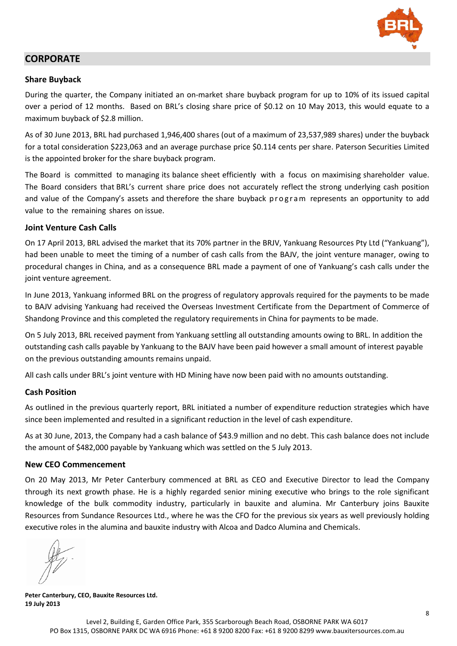

# **CORPORATE**

#### **Share Buyback**

During the quarter, the Company initiated an on-market share buyback program for up to 10% of its issued capital over a period of 12 months. Based on BRL's closing share price of \$0.12 on 10 May 2013, this would equate to a maximum buyback of \$2.8 million.

As of 30 June 2013, BRL had purchased 1,946,400 shares (out of a maximum of 23,537,989 shares) under the buyback for a total consideration \$223,063 and an average purchase price \$0.114 cents per share. Paterson Securities Limited is the appointed broker for the share buyback program.

The Board is committed to managing its balance sheet efficiently with a focus on maximising shareholder value. The Board considers that BRL's current share price does not accurately reflect the strong underlying cash position and value of the Company's assets and therefore the share buyback program represents an opportunity to add value to the remaining shares on issue.

#### **Joint Venture Cash Calls**

On 17 April 2013, BRL advised the market that its 70% partner in the BRJV, Yankuang Resources Pty Ltd ("Yankuang"), had been unable to meet the timing of a number of cash calls from the BAJV, the joint venture manager, owing to procedural changes in China, and as a consequence BRL made a payment of one of Yankuang's cash calls under the joint venture agreement.

In June 2013, Yankuang informed BRL on the progress of regulatory approvals required for the payments to be made to BAJV advising Yankuang had received the Overseas Investment Certificate from the Department of Commerce of Shandong Province and this completed the regulatory requirements in China for payments to be made.

On 5 July 2013, BRL received payment from Yankuang settling all outstanding amounts owing to BRL. In addition the outstanding cash calls payable by Yankuang to the BAJV have been paid however a small amount of interest payable on the previous outstanding amounts remains unpaid.

All cash calls under BRL's joint venture with HD Mining have now been paid with no amounts outstanding.

#### **Cash Position**

As outlined in the previous quarterly report, BRL initiated a number of expenditure reduction strategies which have since been implemented and resulted in a significant reduction in the level of cash expenditure.

As at 30 June, 2013, the Company had a cash balance of \$43.9 million and no debt. This cash balance does not include the amount of \$482,000 payable by Yankuang which was settled on the 5 July 2013.

#### **New CEO Commencement**

On 20 May 2013, Mr Peter Canterbury commenced at BRL as CEO and Executive Director to lead the Company through its next growth phase. He is a highly regarded senior mining executive who brings to the role significant knowledge of the bulk commodity industry, particularly in bauxite and alumina. Mr Canterbury joins Bauxite Resources from Sundance Resources Ltd., where he was the CFO for the previous six years as well previously holding executive roles in the alumina and bauxite industry with Alcoa and Dadco Alumina and Chemicals.

**Peter Canterbury, CEO, Bauxite Resources Ltd. 19 July 2013**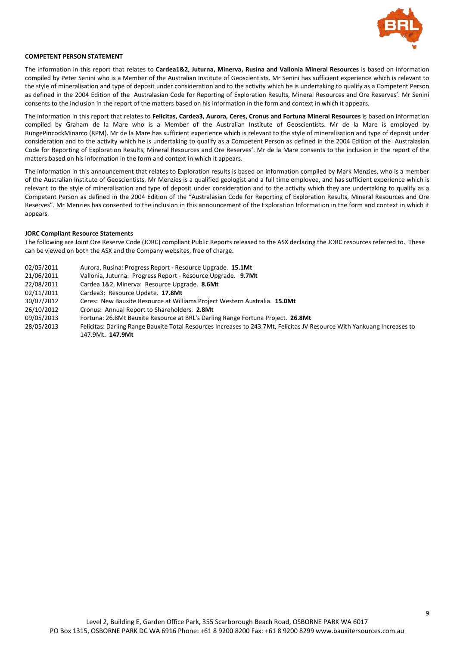

#### **COMPETENT PERSON STATEMENT**

The information in this report that relates to *Cardea1&2*, Juturna, Minerva, Rusina and Vallonia Mineral Resources is based on information compiled by Peter Senini who is a Member of the Australian Institute of Geoscientists. Mr Senini has sufficient experience which is relevant to the style of mineralisation and type of deposit under consideration and to the activity which he is undertaking to qualify as a Competent Person as defined in the 2004 Edition of the Australasian Code for Reporting of Exploration Results, Mineral Resources and Ore Reserves'. Mr Senini consents to the inclusion in the report of the matters based on his information in the form and context in which it appears.

The information in this report that relates to **Felicitas, Cardea3, Aurora, Ceres, Cronus and Fortuna Mineral Resources** is based on information compiled by Graham de la Mare who is a Member of the Australian Institute of Geoscientists. Mr de la Mare is employed by RungePincockMinarco (RPM). Mr de la Mare has sufficient experience which is relevant to the style of mineralisation and type of deposit under consideration and to the activity which he is undertaking to qualify as a Competent Person as defined in the 2004 Edition of the Australasian Code for Reporting of Exploration Results, Mineral Resources and Ore Reserves'. Mr de la Mare consents to the inclusion in the report of the matters based on his information in the form and context in which it appears.

The information in this announcement that relates to Exploration results is based on information compiled by Mark Menzies, who is a member of the Australian Institute of Geoscientists. Mr Menzies is a qualified geologist and a full time employee, and has sufficient experience which is relevant to the style of mineralisation and type of deposit under consideration and to the activity which they are undertaking to qualify as a Competent Person as defined in the 2004 Edition of the "Australasian Code for Reporting of Exploration Results, Mineral Resources and Ore Reserves". Mr Menzies has consented to the inclusion in this announcement of the Exploration Information in the form and context in which it appears.

#### **JORC Compliant Resource Statements**

The following are Joint Ore Reserve Code (JORC) compliant Public Reports released to the ASX declaring the JORC resources referred to. These can be viewed on both the ASX and the Company websites, free of charge.

| 02/05/2011 | Aurora, Rusina: Progress Report - Resource Upgrade. 15.1Mt                                                              |
|------------|-------------------------------------------------------------------------------------------------------------------------|
| 21/06/2011 | Vallonia, Juturna: Progress Report - Resource Upgrade. 9.7Mt                                                            |
| 22/08/2011 | Cardea 1&2, Minerva: Resource Upgrade. 8.6Mt                                                                            |
| 02/11/2011 | Cardea3: Resource Update. 17.8Mt                                                                                        |
| 30/07/2012 | Ceres: New Bauxite Resource at Williams Project Western Australia. 15.0Mt                                               |
| 26/10/2012 | Cronus: Annual Report to Shareholders. 2.8Mt                                                                            |
| 09/05/2013 | Fortuna: 26.8Mt Bauxite Resource at BRL's Darling Range Fortuna Project. 26.8Mt                                         |
| 28/05/2013 | Felicitas: Darling Range Bauxite Total Resources Increases to 243.7Mt, Felicitas JV Resource With Yankuang Increases to |
|            | 147.9Mt. 147.9Mt                                                                                                        |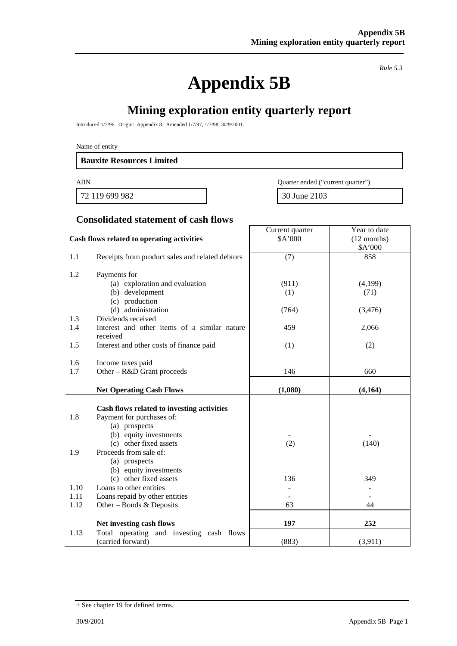**Appendix 5B**

*Rule 5.3*

Year to date

# **Mining exploration entity quarterly report**

Introduced 1/7/96. Origin: Appendix 8. Amended 1/7/97, 1/7/98, 30/9/2001.

Name of entity

#### **Bauxite Resources Limited**

72 119 699 982 30 June 2103

ABN Quarter ended ("current quarter")

Current quarter

# **Consolidated statement of cash flows**

|      | Cash flows related to operating activities               | \$A'000<br>$(12$ months)<br>\$A'000 |         |  |
|------|----------------------------------------------------------|-------------------------------------|---------|--|
| 1.1  | Receipts from product sales and related debtors          | (7)                                 | 858     |  |
| 1.2  | Payments for                                             |                                     |         |  |
|      | (a) exploration and evaluation                           | (911)                               | (4,199) |  |
|      | (b) development                                          | (1)                                 | (71)    |  |
|      | (c) production                                           |                                     |         |  |
|      | (d) administration                                       | (764)                               | (3,476) |  |
| 1.3  | Dividends received                                       |                                     |         |  |
| 1.4  | Interest and other items of a similar nature<br>received | 459                                 | 2,066   |  |
| 1.5  | Interest and other costs of finance paid                 | (1)                                 | (2)     |  |
| 1.6  | Income taxes paid                                        |                                     |         |  |
| 1.7  | Other – R&D Grant proceeds                               | 146                                 | 660     |  |
|      | <b>Net Operating Cash Flows</b>                          | (1,080)                             | (4,164) |  |
|      | Cash flows related to investing activities               |                                     |         |  |
| 1.8  | Payment for purchases of:                                |                                     |         |  |
|      | (a) prospects                                            |                                     |         |  |
|      | (b) equity investments                                   |                                     |         |  |
|      | (c) other fixed assets                                   | (2)                                 | (140)   |  |
| 1.9  | Proceeds from sale of:                                   |                                     |         |  |
|      | (a) prospects                                            |                                     |         |  |
|      | (b) equity investments                                   |                                     |         |  |
|      | (c) other fixed assets                                   | 136                                 | 349     |  |
| 1.10 | Loans to other entities                                  |                                     |         |  |
| 1.11 | Loans repaid by other entities                           |                                     |         |  |
| 1.12 | Other – Bonds & Deposits                                 | 63                                  | 44      |  |
|      | Net investing cash flows                                 | 197                                 | 252     |  |
| 1.13 | Total operating and investing cash flows                 |                                     |         |  |
|      | (carried forward)                                        | (883)                               | (3,911) |  |

<sup>+</sup> See chapter 19 for defined terms.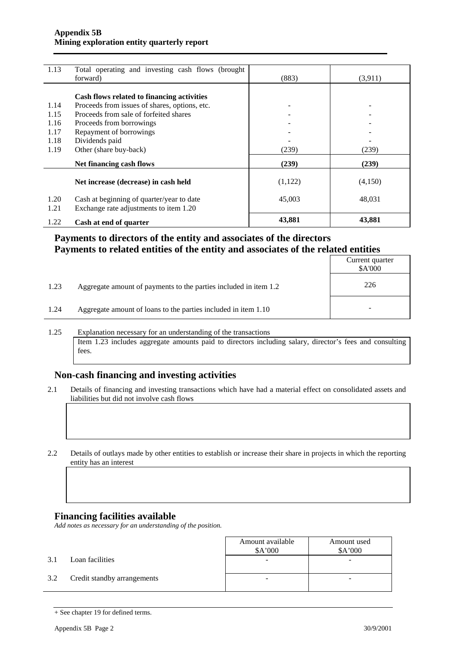| 1.13 | Total operating and investing cash flows (brought |          |         |
|------|---------------------------------------------------|----------|---------|
|      | forward)                                          | (883)    | (3,911) |
|      |                                                   |          |         |
|      | Cash flows related to financing activities        |          |         |
| 1.14 | Proceeds from issues of shares, options, etc.     |          |         |
| 1.15 | Proceeds from sale of forfeited shares            |          |         |
| 1.16 | Proceeds from borrowings                          |          |         |
| 1.17 | Repayment of borrowings                           |          |         |
| 1.18 | Dividends paid                                    |          |         |
| 1.19 | Other (share buy-back)                            | (239)    | (239)   |
|      | Net financing cash flows                          | (239)    | (239)   |
|      |                                                   | (1, 122) |         |
|      | Net increase (decrease) in cash held              |          | (4,150) |
| 1.20 | Cash at beginning of quarter/year to date         | 45,003   | 48,031  |
| 1.21 | Exchange rate adjustments to item 1.20            |          |         |
|      |                                                   |          |         |
| 1.22 | Cash at end of quarter                            | 43,881   | 43,881  |

# **Payments to directors of the entity and associates of the directors Payments to related entities of the entity and associates of the related entities**

|      |                                                                  | Current quarter<br>\$A'000 |
|------|------------------------------------------------------------------|----------------------------|
| 1.23 | Aggregate amount of payments to the parties included in item 1.2 | 226                        |
| 1.24 | Aggregate amount of loans to the parties included in item 1.10   | $\overline{\phantom{a}}$   |

1.25 Explanation necessary for an understanding of the transactions Item 1.23 includes aggregate amounts paid to directors including salary, director's fees and consulting fees.

## **Non-cash financing and investing activities**

2.1 Details of financing and investing transactions which have had a material effect on consolidated assets and liabilities but did not involve cash flows

2.2 Details of outlays made by other entities to establish or increase their share in projects in which the reporting entity has an interest

## **Financing facilities available**

*Add notes as necessary for an understanding of the position.*

|     |                             | Amount available<br>\$A'000 | Amount used<br>\$A'000 |
|-----|-----------------------------|-----------------------------|------------------------|
| 3.1 | Loan facilities             | -                           | -                      |
| 3.2 | Credit standby arrangements | -                           | -                      |

<sup>+</sup> See chapter 19 for defined terms.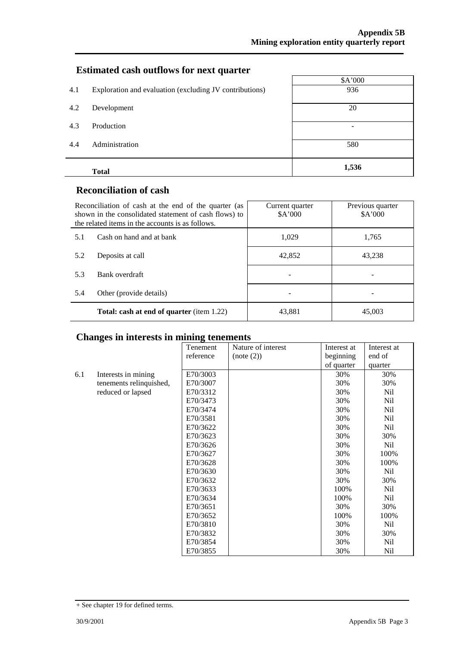# **Estimated cash outflows for next quarter**

|     | <b>Total</b>                                            | 1,536   |
|-----|---------------------------------------------------------|---------|
| 4.4 | Administration                                          | 580     |
| 4.3 | Production                                              | -       |
| 4.2 | Development                                             | 20      |
| 4.1 | Exploration and evaluation (excluding JV contributions) | 936     |
|     |                                                         | \$A'000 |

## **Reconciliation of cash**

|     | Reconciliation of cash at the end of the quarter (as<br>shown in the consolidated statement of cash flows) to<br>the related items in the accounts is as follows. | Current quarter<br>\$A'000 | Previous quarter<br>\$A'000 |
|-----|-------------------------------------------------------------------------------------------------------------------------------------------------------------------|----------------------------|-----------------------------|
| 5.1 | Cash on hand and at bank                                                                                                                                          | 1,029                      | 1,765                       |
| 5.2 | Deposits at call                                                                                                                                                  | 42,852                     | 43,238                      |
| 5.3 | Bank overdraft                                                                                                                                                    |                            |                             |
| 5.4 | Other (provide details)                                                                                                                                           |                            |                             |
|     | <b>Total: cash at end of quarter</b> (item 1.22)                                                                                                                  | 43,881                     | 45,003                      |

# **Changes in interests in mining tenements**

|     |                         | Tenement  | Nature of interest | Interest at | Interest at     |
|-----|-------------------------|-----------|--------------------|-------------|-----------------|
|     |                         | reference | (note (2))         | beginning   | end of          |
|     |                         |           |                    | of quarter  | quarter         |
| 6.1 | Interests in mining     | E70/3003  |                    | 30%         | 30%             |
|     | tenements relinquished, | E70/3007  |                    | 30%         | 30%             |
|     | reduced or lapsed       | E70/3312  |                    | 30%         | Nil             |
|     |                         | E70/3473  |                    | 30%         | Nil             |
|     |                         | E70/3474  |                    | 30%         | Nil             |
|     |                         | E70/3581  |                    | 30%         | Nil             |
|     |                         | E70/3622  |                    | 30%         | Nil             |
|     |                         | E70/3623  |                    | 30%         | 30%             |
|     |                         | E70/3626  |                    | 30%         | Nil             |
|     |                         | E70/3627  |                    | 30%         | 100%            |
|     |                         | E70/3628  |                    | 30%         | 100%            |
|     |                         | E70/3630  |                    | 30%         | Nil             |
|     |                         | E70/3632  |                    | 30%         | 30%             |
|     |                         | E70/3633  |                    | 100%        | N <sub>il</sub> |
|     |                         | E70/3634  |                    | 100%        | Nil             |
|     |                         | E70/3651  |                    | 30%         | 30%             |
|     |                         | E70/3652  |                    | 100%        | 100%            |
|     |                         | E70/3810  |                    | 30%         | Nil             |
|     |                         | E70/3832  |                    | 30%         | 30%             |
|     |                         | E70/3854  |                    | 30%         | Nil             |
|     |                         | E70/3855  |                    | 30%         | Nil             |

<sup>+</sup> See chapter 19 for defined terms.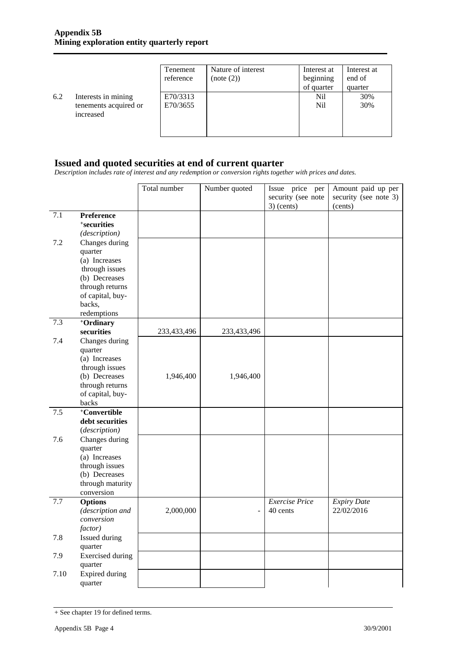|     |                                                           | Tenement<br>reference | Nature of interest<br>(note (2)) | Interest at<br>beginning | Interest at<br>end of |
|-----|-----------------------------------------------------------|-----------------------|----------------------------------|--------------------------|-----------------------|
|     |                                                           |                       |                                  | of quarter               | quarter               |
| 6.2 | Interests in mining<br>tenements acquired or<br>increased | E70/3313<br>E70/3655  |                                  | Nil<br>N <sub>i</sub>    | 30%<br>30%            |

## **Issued and quoted securities at end of current quarter**

*Description includes rate of interest and any redemption or conversion rights together with prices and dates.*

|      |                                     | Total number | Number quoted            | Issue price per       | Amount paid up per    |
|------|-------------------------------------|--------------|--------------------------|-----------------------|-----------------------|
|      |                                     |              |                          | security (see note    | security (see note 3) |
|      |                                     |              |                          | $3)$ (cents)          | (cents)               |
| 7.1  | Preference                          |              |                          |                       |                       |
|      | +securities                         |              |                          |                       |                       |
|      | (description)                       |              |                          |                       |                       |
| 7.2  | Changes during                      |              |                          |                       |                       |
|      | quarter                             |              |                          |                       |                       |
|      | (a) Increases                       |              |                          |                       |                       |
|      | through issues                      |              |                          |                       |                       |
|      | (b) Decreases                       |              |                          |                       |                       |
|      | through returns<br>of capital, buy- |              |                          |                       |                       |
|      | backs,                              |              |                          |                       |                       |
|      | redemptions                         |              |                          |                       |                       |
| 7.3  | +Ordinary                           |              |                          |                       |                       |
|      | securities                          | 233,433,496  | 233,433,496              |                       |                       |
| 7.4  | Changes during                      |              |                          |                       |                       |
|      | quarter                             |              |                          |                       |                       |
|      | (a) Increases                       |              |                          |                       |                       |
|      | through issues                      |              |                          |                       |                       |
|      | (b) Decreases                       | 1,946,400    | 1,946,400                |                       |                       |
|      | through returns                     |              |                          |                       |                       |
|      | of capital, buy-                    |              |                          |                       |                       |
|      | backs                               |              |                          |                       |                       |
| 7.5  | +Convertible                        |              |                          |                       |                       |
|      | debt securities                     |              |                          |                       |                       |
|      | (description)                       |              |                          |                       |                       |
| 7.6  | Changes during                      |              |                          |                       |                       |
|      | quarter                             |              |                          |                       |                       |
|      | (a) Increases                       |              |                          |                       |                       |
|      | through issues                      |              |                          |                       |                       |
|      | (b) Decreases<br>through maturity   |              |                          |                       |                       |
|      | conversion                          |              |                          |                       |                       |
| 7.7  | <b>Options</b>                      |              |                          | <b>Exercise Price</b> | <b>Expiry Date</b>    |
|      | (description and                    | 2,000,000    | $\overline{\phantom{0}}$ | 40 cents              | 22/02/2016            |
|      | conversion                          |              |                          |                       |                       |
|      | <i>factor</i> )                     |              |                          |                       |                       |
| 7.8  | Issued during                       |              |                          |                       |                       |
|      | quarter                             |              |                          |                       |                       |
| 7.9  | <b>Exercised</b> during             |              |                          |                       |                       |
|      | quarter                             |              |                          |                       |                       |
| 7.10 | <b>Expired during</b>               |              |                          |                       |                       |
|      | quarter                             |              |                          |                       |                       |

<sup>+</sup> See chapter 19 for defined terms.